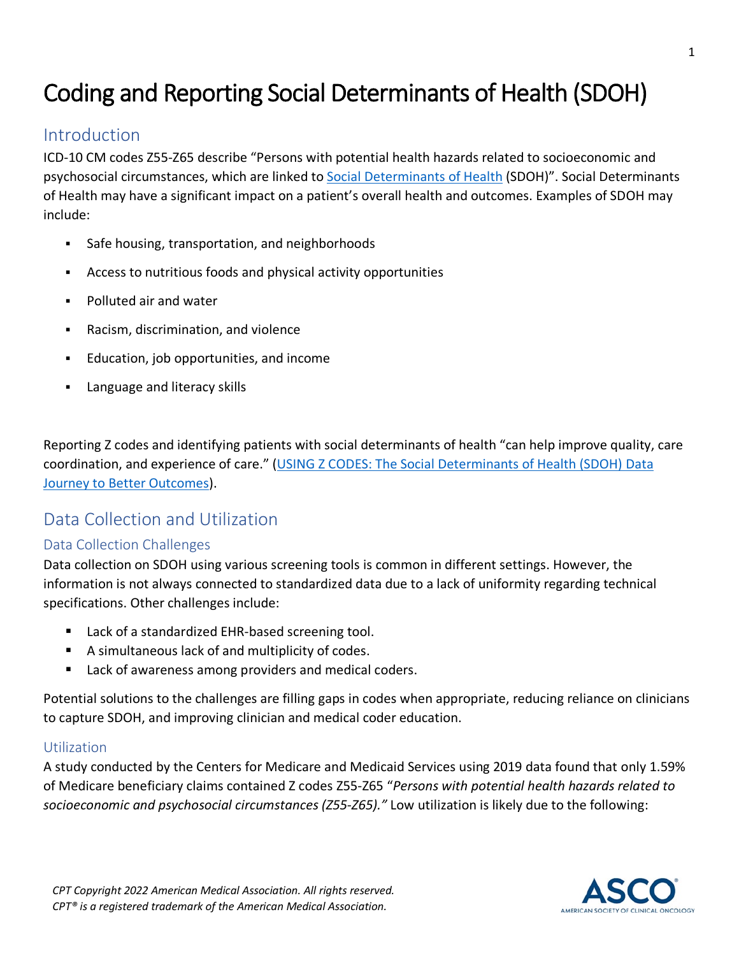# Coding and Reporting Social Determinants of Health (SDOH)

### **Introduction**

ICD-10 CM codes Z55-Z65 describe "Persons with potential health hazards related to socioeconomic and psychosocial circumstances, which are linked to [Social Determinants of Health](https://health.gov/healthypeople/objectives-and-data/social-determinants-health) (SDOH)". Social Determinants of Health may have a significant impact on a patient's overall health and outcomes. Examples of SDOH may include:

- Safe housing, transportation, and neighborhoods
- Access to nutritious foods and physical activity opportunities
- **Polluted air and water**
- Racism, discrimination, and violence
- **Education, job opportunities, and income**
- Language and literacy skills

Reporting Z codes and identifying patients with social determinants of health "can help improve quality, care coordination, and experience of care." [\(USING Z CODES: The Social Determinants of Health \(SDOH\)](https://www.cms.gov/files/document/zcodes-infographic.pdf) Data [Journey to Better Outcomes\)](https://www.cms.gov/files/document/zcodes-infographic.pdf).

### Data Collection and Utilization

### Data Collection Challenges

Data collection on SDOH using various screening tools is common in different settings. However, the information is not always connected to standardized data due to a lack of uniformity regarding technical specifications. Other challenges include:

- Lack of a standardized EHR-based screening tool.
- A simultaneous lack of and multiplicity of codes.
- Lack of awareness among providers and medical coders.

Potential solutions to the challenges are filling gaps in codes when appropriate, reducing reliance on clinicians to capture SDOH, and improving clinician and medical coder education.

### **Utilization**

A study conducted by the Centers for Medicare and Medicaid Services using 2019 data found that only 1.59% of Medicare beneficiary claims contained Z codes Z55-Z65 "*Persons with potential health hazards related to socioeconomic and psychosocial circumstances (Z55-Z65)."* Low utilization is likely due to the following:

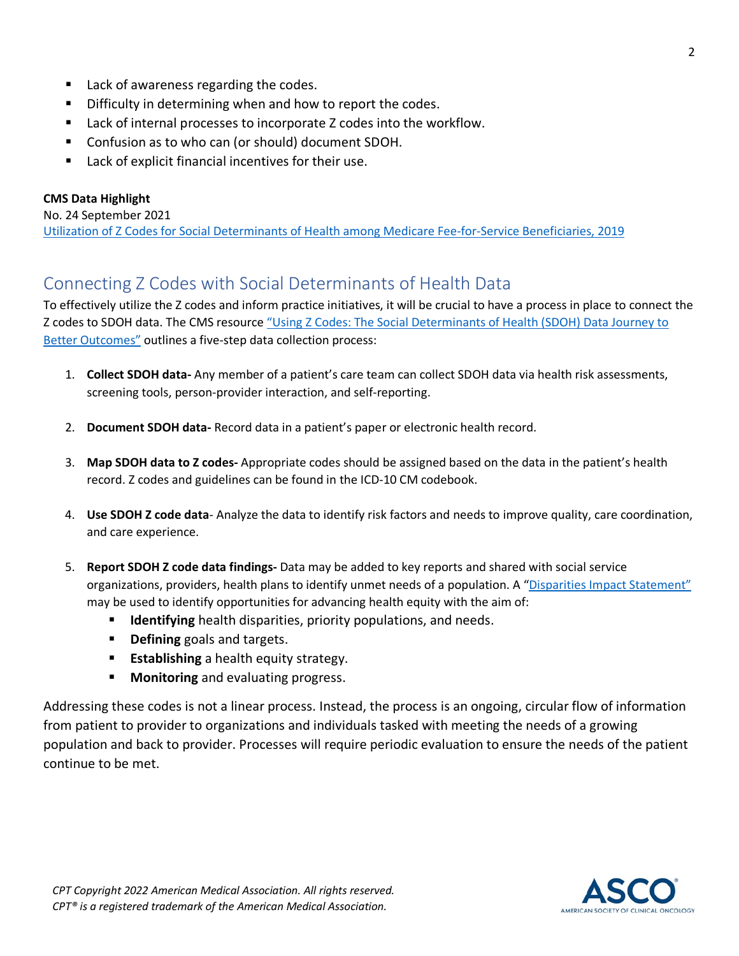- Lack of awareness regarding the codes.
- Difficulty in determining when and how to report the codes.
- Lack of internal processes to incorporate Z codes into the workflow.
- **Confusion as to who can (or should) document SDOH.**
- Lack of explicit financial incentives for their use.

#### **CMS Data Highlight**

No. 24 September 2021

[Utilization of Z Codes for Social Determinants of Health among Medicare Fee-for-Service Beneficiaries, 2019](https://www.cms.gov/files/document/z-codes-data-highlight.pdf)

### Connecting Z Codes with Social Determinants of Health Data

To effectively utilize the Z codes and inform practice initiatives, it will be crucial to have a process in place to connect the Z codes to SDOH data. The CMS resource "Using Z Codes: The Social Determinants of Health (SDOH) Data Journey to [Better Outcomes"](https://www.cms.gov/files/document/zcodes-infographic.pdf) outlines a five-step data collection process:

- 1. **Collect SDOH data-** Any member of a patient's care team can collect SDOH data via health risk assessments, screening tools, person-provider interaction, and self-reporting.
- 2. **Document SDOH data-** Record data in a patient's paper or electronic health record.
- 3. **Map SDOH data to Z codes-** Appropriate codes should be assigned based on the data in the patient's health record. Z codes and guidelines can be found in the ICD-10 CM codebook.
- 4. **Use SDOH Z code data** Analyze the data to identify risk factors and needs to improve quality, care coordination, and care experience.
- 5. **Report SDOH Z code data findings-** Data may be added to key reports and shared with social service organizations, providers, health plans to identify unmet needs of a population. A ["Disparities Impact Statement"](https://www.cms.gov/About-CMS/Agency-Information/OMH/Downloads/Disparities-Impact-Statement-508-rev102018.pdf)  may be used to identify opportunities for advancing health equity with the aim of:
	- **Identifying** health disparities, priority populations, and needs.
	- **Phinumi Defining** goals and targets.
	- **Establishing** a health equity strategy.
	- **Monitoring** and evaluating progress.

Addressing these codes is not a linear process. Instead, the process is an ongoing, circular flow of information from patient to provider to organizations and individuals tasked with meeting the needs of a growing population and back to provider. Processes will require periodic evaluation to ensure the needs of the patient continue to be met.

2

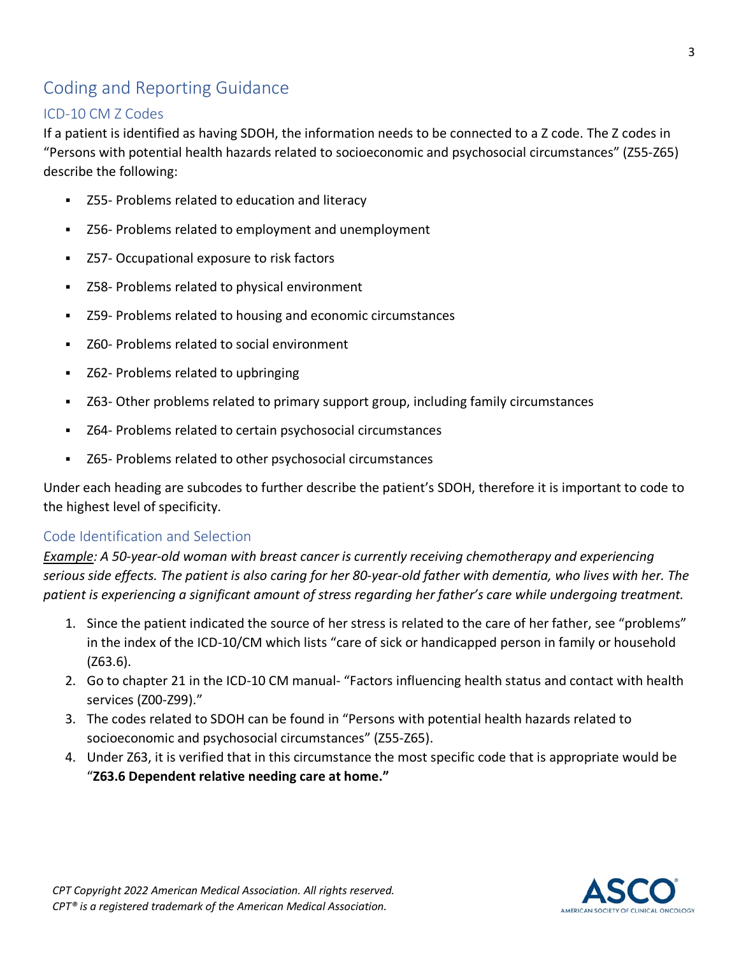## Coding and Reporting Guidance

### ICD-10 CM Z Codes

If a patient is identified as having SDOH, the information needs to be connected to a Z code. The Z codes in "Persons with potential health hazards related to socioeconomic and psychosocial circumstances" (Z55-Z65) describe the following:

- Z55- Problems related to education and literacy
- Z56- Problems related to employment and unemployment
- Z57- Occupational exposure to risk factors
- Z58- Problems related to physical environment
- Z59- Problems related to housing and economic circumstances
- Z60- Problems related to social environment
- Z62- Problems related to upbringing
- Z63- Other problems related to primary support group, including family circumstances
- Z64- Problems related to certain psychosocial circumstances
- Z65- Problems related to other psychosocial circumstances

Under each heading are subcodes to further describe the patient's SDOH, therefore it is important to code to the highest level of specificity.

#### Code Identification and Selection

*Example: A 50-year-old woman with breast cancer is currently receiving chemotherapy and experiencing serious side effects. The patient is also caring for her 80-year-old father with dementia, who lives with her. The patient is experiencing a significant amount of stress regarding her father's care while undergoing treatment.*

- 1. Since the patient indicated the source of her stress is related to the care of her father, see "problems" in the index of the ICD-10/CM which lists "care of sick or handicapped person in family or household (Z63.6).
- 2. Go to chapter 21 in the ICD-10 CM manual- "Factors influencing health status and contact with health services (Z00-Z99)."
- 3. The codes related to SDOH can be found in "Persons with potential health hazards related to socioeconomic and psychosocial circumstances" (Z55-Z65).
- 4. Under Z63, it is verified that in this circumstance the most specific code that is appropriate would be "**Z63.6 Dependent relative needing care at home."**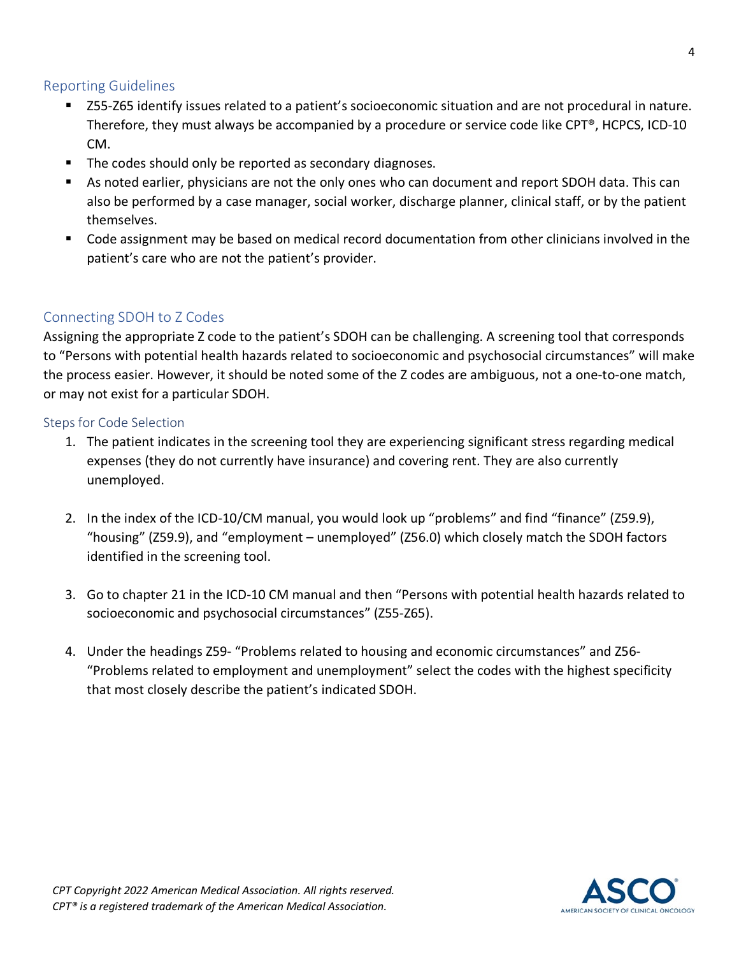### Reporting Guidelines

- Z55-Z65 identify issues related to a patient's socioeconomic situation and are not procedural in nature. Therefore, they must always be accompanied by a procedure or service code like CPT®, HCPCS, ICD-10 CM.
- The codes should only be reported as secondary diagnoses.
- As noted earlier, physicians are not the only ones who can document and report SDOH data. This can also be performed by a case manager, social worker, discharge planner, clinical staff, or by the patient themselves.
- Code assignment may be based on medical record documentation from other clinicians involved in the patient's care who are not the patient's provider.

### Connecting SDOH to Z Codes

Assigning the appropriate Z code to the patient's SDOH can be challenging. A screening tool that corresponds to "Persons with potential health hazards related to socioeconomic and psychosocial circumstances" will make the process easier. However, it should be noted some of the Z codes are ambiguous, not a one-to-one match, or may not exist for a particular SDOH.

#### Steps for Code Selection

- 1. The patient indicates in the screening tool they are experiencing significant stress regarding medical expenses (they do not currently have insurance) and covering rent. They are also currently unemployed.
- 2. In the index of the ICD-10/CM manual, you would look up "problems" and find "finance" (Z59.9), "housing" (Z59.9), and "employment – unemployed" (Z56.0) which closely match the SDOH factors identified in the screening tool.
- 3. Go to chapter 21 in the ICD-10 CM manual and then "Persons with potential health hazards related to socioeconomic and psychosocial circumstances" (Z55-Z65).
- 4. Under the headings Z59- "Problems related to housing and economic circumstances" and Z56- "Problems related to employment and unemployment" select the codes with the highest specificity that most closely describe the patient's indicated SDOH.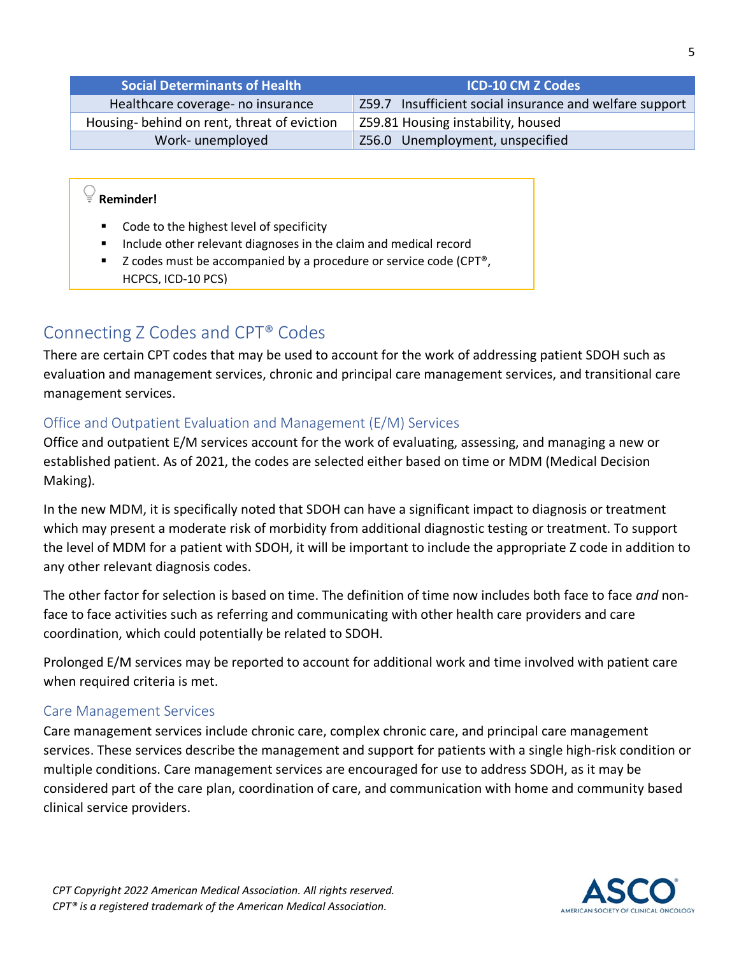| <b>Social Determinants of Health</b>       | <b>ICD-10 CM Z Codes</b>                                |
|--------------------------------------------|---------------------------------------------------------|
| Healthcare coverage- no insurance          | Z59.7 Insufficient social insurance and welfare support |
| Housing-behind on rent, threat of eviction | Z59.81 Housing instability, housed                      |
| Work-unemployed                            | Z56.0 Unemployment, unspecified                         |

# **Reminder!**

- Code to the highest level of specificity
- **Include other relevant diagnoses in the claim and medical record**
- $\blacksquare$  Z codes must be accompanied by a procedure or service code (CPT<sup>®</sup>, HCPCS, ICD-10 PCS)

### Connecting Z Codes and CPT® Codes

There are certain CPT codes that may be used to account for the work of addressing patient SDOH such as evaluation and management services, chronic and principal care management services, and transitional care management services.

### Office and Outpatient Evaluation and Management (E/M) Services

Office and outpatient E/M services account for the work of evaluating, assessing, and managing a new or established patient. As of 2021, the codes are selected either based on time or MDM (Medical Decision Making).

In the new MDM, it is specifically noted that SDOH can have a significant impact to diagnosis or treatment which may present a moderate risk of morbidity from additional diagnostic testing or treatment. To support the level of MDM for a patient with SDOH, it will be important to include the appropriate Z code in addition to any other relevant diagnosis codes.

The other factor for selection is based on time. The definition of time now includes both face to face *and* nonface to face activities such as referring and communicating with other health care providers and care coordination, which could potentially be related to SDOH.

Prolonged E/M services may be reported to account for additional work and time involved with patient care when required criteria is met.

#### Care Management Services

Care management services include chronic care, complex chronic care, and principal care management services. These services describe the management and support for patients with a single high-risk condition or multiple conditions. Care management services are encouraged for use to address SDOH, as it may be considered part of the care plan, coordination of care, and communication with home and community based clinical service providers.

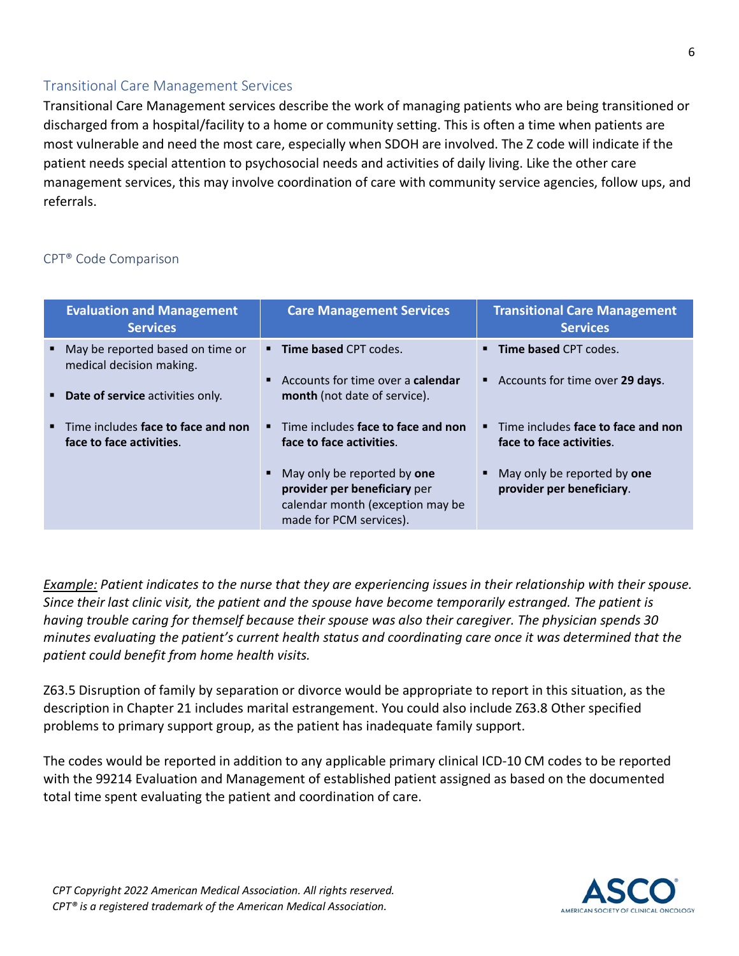### Transitional Care Management Services

Transitional Care Management services describe the work of managing patients who are being transitioned or discharged from a hospital/facility to a home or community setting. This is often a time when patients are most vulnerable and need the most care, especially when SDOH are involved. The Z code will indicate if the patient needs special attention to psychosocial needs and activities of daily living. Like the other care management services, this may involve coordination of care with community service agencies, follow ups, and referrals.

#### CPT® Code Comparison

| <b>Evaluation and Management</b><br><b>Services</b>            | <b>Care Management Services</b>                                                                                                   | <b>Transitional Care Management</b><br><b>Services</b>         |
|----------------------------------------------------------------|-----------------------------------------------------------------------------------------------------------------------------------|----------------------------------------------------------------|
| May be reported based on time or<br>medical decision making.   | <b>Time based CPT codes.</b>                                                                                                      | <b>Time based CPT codes.</b>                                   |
| Date of service activities only.                               | Accounts for time over a <b>calendar</b><br>month (not date of service).                                                          | Accounts for time over 29 days.                                |
| Time includes face to face and non<br>face to face activities. | Time includes face to face and non<br>face to face activities.                                                                    | Time includes face to face and non<br>face to face activities. |
|                                                                | May only be reported by <b>one</b><br>provider per beneficiary per<br>calendar month (exception may be<br>made for PCM services). | May only be reported by one<br>provider per beneficiary.       |

*Example: Patient indicates to the nurse that they are experiencing issues in their relationship with their spouse. Since their last clinic visit, the patient and the spouse have become temporarily estranged. The patient is having trouble caring for themself because their spouse was also their caregiver. The physician spends 30 minutes evaluating the patient's current health status and coordinating care once it was determined that the patient could benefit from home health visits.* 

Z63.5 Disruption of family by separation or divorce would be appropriate to report in this situation, as the description in Chapter 21 includes marital estrangement. You could also include Z63.8 Other specified problems to primary support group, as the patient has inadequate family support.

The codes would be reported in addition to any applicable primary clinical ICD-10 CM codes to be reported with the 99214 Evaluation and Management of established patient assigned as based on the documented total time spent evaluating the patient and coordination of care.

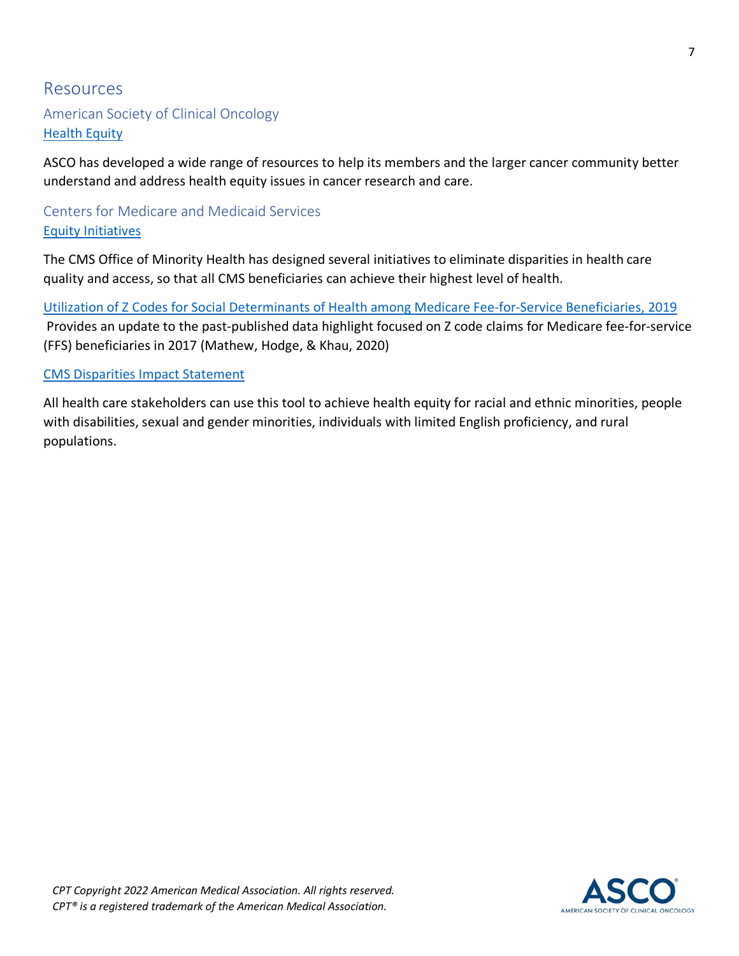### Resources

### American Society of Clinical Oncology [Health Equity](https://www.asco.org/news-initiatives/current-initiatives/health-equity)

ASCO has developed a wide range of resources to help its members and the larger cancer community better understand and address health equity issues in cancer research and care.

### Centers for Medicare and Medicaid Services [Equity Initiatives](https://www.cms.gov/About-CMS/Agency-Information/OMH/equity-initiatives)

The CMS Office of Minority Health has designed several initiatives to eliminate disparities in health care quality and access, so that all CMS beneficiaries can achieve their highest level of health.

[Utilization of Z Codes for Social Determinants of Health among Medicare Fee-for-Service Beneficiaries, 2019](https://www.cms.gov/files/document/z-codes-data-highlight.pdf)  Provides an update to the past-published data highlight focused on Z code claims for Medicare fee-for-service (FFS) beneficiaries in 2017 (Mathew, Hodge, & Khau, 2020)

#### [CMS Disparities Impact Statement](https://www.cms.gov/About-CMS/Agency-Information/OMH/Downloads/Disparities-Impact-Statement-508-rev102018.pdf)

All health care stakeholders can use this tool to achieve health equity for racial and ethnic minorities, people with disabilities, sexual and gender minorities, individuals with limited English proficiency, and rural populations.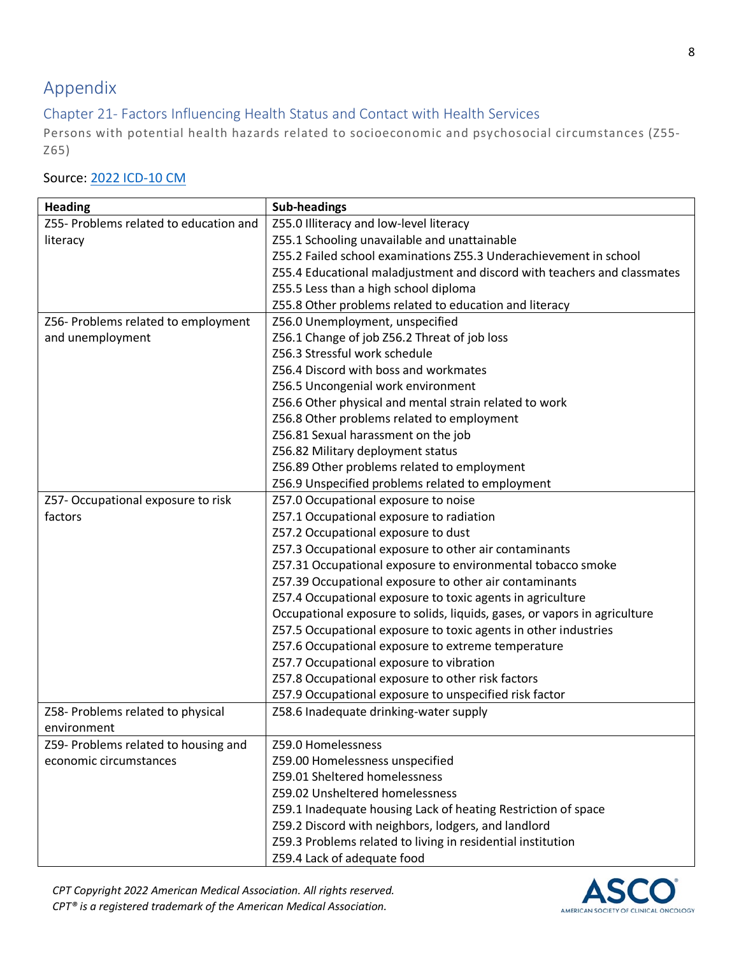# Appendix

### Chapter 21- Factors Influencing Health Status and Contact with Health Services

Persons with potential health hazards related to socioeconomic and psychosocial circumstances (Z55- Z65)

### Source: [2022 ICD-10 CM](https://www.cms.gov/medicare/icd-10/2022-icd-10-cm)

| <b>Heading</b>                         | <b>Sub-headings</b>                                                       |
|----------------------------------------|---------------------------------------------------------------------------|
| Z55- Problems related to education and | Z55.0 Illiteracy and low-level literacy                                   |
| literacy                               | Z55.1 Schooling unavailable and unattainable                              |
|                                        | Z55.2 Failed school examinations Z55.3 Underachievement in school         |
|                                        | Z55.4 Educational maladjustment and discord with teachers and classmates  |
|                                        | Z55.5 Less than a high school diploma                                     |
|                                        | Z55.8 Other problems related to education and literacy                    |
| Z56- Problems related to employment    | Z56.0 Unemployment, unspecified                                           |
| and unemployment                       | Z56.1 Change of job Z56.2 Threat of job loss                              |
|                                        | Z56.3 Stressful work schedule                                             |
|                                        | Z56.4 Discord with boss and workmates                                     |
|                                        | Z56.5 Uncongenial work environment                                        |
|                                        | Z56.6 Other physical and mental strain related to work                    |
|                                        | Z56.8 Other problems related to employment                                |
|                                        | Z56.81 Sexual harassment on the job                                       |
|                                        | Z56.82 Military deployment status                                         |
|                                        | Z56.89 Other problems related to employment                               |
|                                        | Z56.9 Unspecified problems related to employment                          |
| Z57- Occupational exposure to risk     | Z57.0 Occupational exposure to noise                                      |
| factors                                | Z57.1 Occupational exposure to radiation                                  |
|                                        | Z57.2 Occupational exposure to dust                                       |
|                                        | Z57.3 Occupational exposure to other air contaminants                     |
|                                        | Z57.31 Occupational exposure to environmental tobacco smoke               |
|                                        | Z57.39 Occupational exposure to other air contaminants                    |
|                                        | Z57.4 Occupational exposure to toxic agents in agriculture                |
|                                        | Occupational exposure to solids, liquids, gases, or vapors in agriculture |
|                                        | Z57.5 Occupational exposure to toxic agents in other industries           |
|                                        | Z57.6 Occupational exposure to extreme temperature                        |
|                                        | Z57.7 Occupational exposure to vibration                                  |
|                                        | Z57.8 Occupational exposure to other risk factors                         |
|                                        | Z57.9 Occupational exposure to unspecified risk factor                    |
| Z58- Problems related to physical      | Z58.6 Inadequate drinking-water supply                                    |
| environment                            |                                                                           |
| Z59- Problems related to housing and   | Z59.0 Homelessness                                                        |
| economic circumstances                 | Z59.00 Homelessness unspecified                                           |
|                                        | Z59.01 Sheltered homelessness                                             |
|                                        | Z59.02 Unsheltered homelessness                                           |
|                                        | Z59.1 Inadequate housing Lack of heating Restriction of space             |
|                                        | Z59.2 Discord with neighbors, lodgers, and landlord                       |
|                                        | Z59.3 Problems related to living in residential institution               |
|                                        | Z59.4 Lack of adequate food                                               |

*CPT Copyright 2022 American Medical Association. All rights reserved. CPT® is a registered trademark of the American Medical Association.*

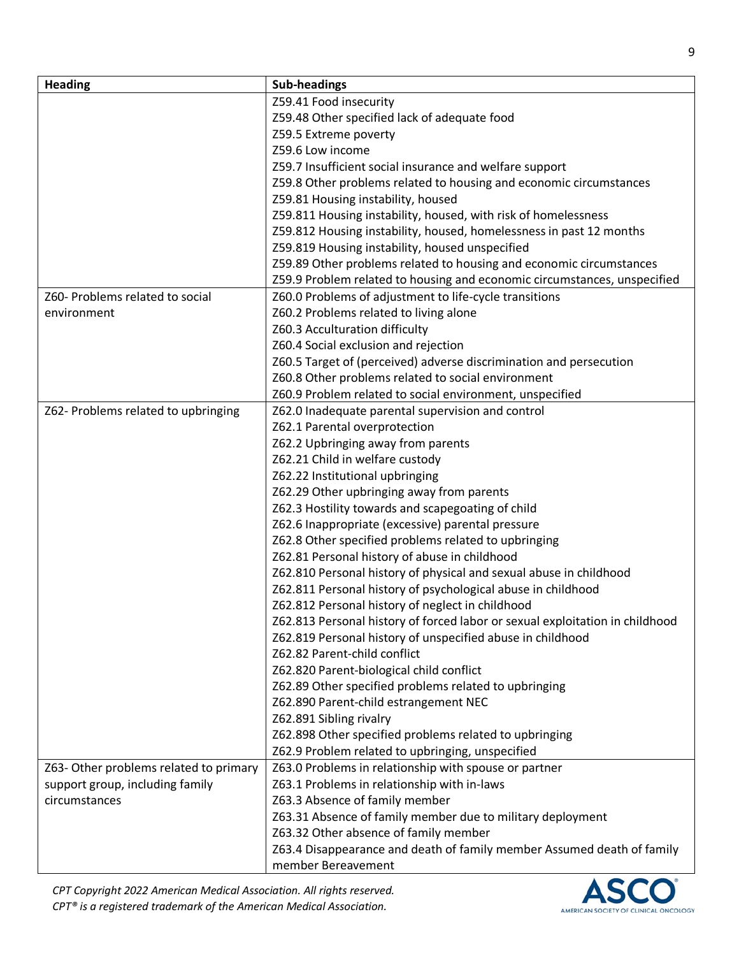| <b>Heading</b>                         | <b>Sub-headings</b>                                                          |
|----------------------------------------|------------------------------------------------------------------------------|
|                                        | Z59.41 Food insecurity                                                       |
|                                        | Z59.48 Other specified lack of adequate food                                 |
|                                        | Z59.5 Extreme poverty                                                        |
|                                        | Z59.6 Low income                                                             |
|                                        | Z59.7 Insufficient social insurance and welfare support                      |
|                                        | Z59.8 Other problems related to housing and economic circumstances           |
|                                        | Z59.81 Housing instability, housed                                           |
|                                        | Z59.811 Housing instability, housed, with risk of homelessness               |
|                                        | Z59.812 Housing instability, housed, homelessness in past 12 months          |
|                                        | Z59.819 Housing instability, housed unspecified                              |
|                                        | Z59.89 Other problems related to housing and economic circumstances          |
|                                        | Z59.9 Problem related to housing and economic circumstances, unspecified     |
| Z60- Problems related to social        | Z60.0 Problems of adjustment to life-cycle transitions                       |
| environment                            | Z60.2 Problems related to living alone                                       |
|                                        | Z60.3 Acculturation difficulty                                               |
|                                        | Z60.4 Social exclusion and rejection                                         |
|                                        | Z60.5 Target of (perceived) adverse discrimination and persecution           |
|                                        | Z60.8 Other problems related to social environment                           |
|                                        | Z60.9 Problem related to social environment, unspecified                     |
| Z62- Problems related to upbringing    | Z62.0 Inadequate parental supervision and control                            |
|                                        | Z62.1 Parental overprotection                                                |
|                                        | Z62.2 Upbringing away from parents                                           |
|                                        | Z62.21 Child in welfare custody                                              |
|                                        | Z62.22 Institutional upbringing                                              |
|                                        | Z62.29 Other upbringing away from parents                                    |
|                                        | Z62.3 Hostility towards and scapegoating of child                            |
|                                        | Z62.6 Inappropriate (excessive) parental pressure                            |
|                                        | Z62.8 Other specified problems related to upbringing                         |
|                                        | Z62.81 Personal history of abuse in childhood                                |
|                                        | Z62.810 Personal history of physical and sexual abuse in childhood           |
|                                        | Z62.811 Personal history of psychological abuse in childhood                 |
|                                        | Z62.812 Personal history of neglect in childhood                             |
|                                        | Z62.813 Personal history of forced labor or sexual exploitation in childhood |
|                                        | Z62.819 Personal history of unspecified abuse in childhood                   |
|                                        | Z62.82 Parent-child conflict                                                 |
|                                        | Z62.820 Parent-biological child conflict                                     |
|                                        | Z62.89 Other specified problems related to upbringing                        |
|                                        | Z62.890 Parent-child estrangement NEC                                        |
|                                        | Z62.891 Sibling rivalry                                                      |
|                                        | Z62.898 Other specified problems related to upbringing                       |
|                                        | Z62.9 Problem related to upbringing, unspecified                             |
| Z63- Other problems related to primary | Z63.0 Problems in relationship with spouse or partner                        |
| support group, including family        | Z63.1 Problems in relationship with in-laws                                  |
| circumstances                          | Z63.3 Absence of family member                                               |
|                                        | Z63.31 Absence of family member due to military deployment                   |
|                                        | Z63.32 Other absence of family member                                        |
|                                        | Z63.4 Disappearance and death of family member Assumed death of family       |
|                                        | member Bereavement                                                           |